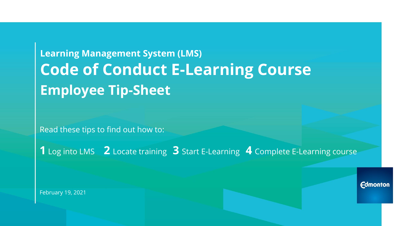# **Learning Management System (LMS) Code of Conduct E-Learning Course Employee Tip-Sheet**

Read these tips to find out how to:

**1** Log into LMS **2** Locate training **3** Start E-Learning **4** Complete E-Learning course

February 19, 2021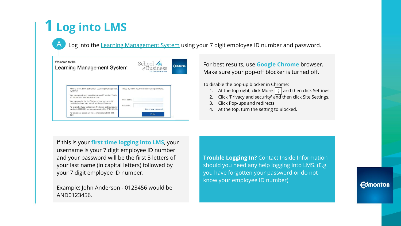# **1 Log into LMS**

Log into the [Learning Management System](https://coe.lf.cloud.opentext.com) using your 7 digit employee ID number and password.

| Welcome to the<br>Learning Management System                                                                                                                                                                                                                                                                                                                                                                                                                                                  | School 1<br>of Business<br><b>CITY OF EDMONTON</b>                                                        | <b>Edmonton</b> |
|-----------------------------------------------------------------------------------------------------------------------------------------------------------------------------------------------------------------------------------------------------------------------------------------------------------------------------------------------------------------------------------------------------------------------------------------------------------------------------------------------|-----------------------------------------------------------------------------------------------------------|-----------------|
| New to the City of Edmonton Learning Management<br>System?<br>Your username is your payroll/ employee ID number. This is<br>a 7 digit number that begins with zero.<br>Your password is the first 3 letters of your last name (all<br>capital letters) and your payroll/ employee ID number.<br>For example: if your last name is Treehouse and your payroll<br>number is 0123456 then your password will be TRE0123456.<br>For assistance please call Inside Information at 780-944-<br>4311 | To log in, enter your username and password.<br>User Name:<br>Password:<br>Forgot your password?<br>Enter |                 |

For best results, use **Google Chrome** browser**.** Make sure your pop-off blocker is turned off.

To disable the pop-up blocker in Chrome:

- 1. At the top right, click More  $\|\cdot\|$  and then click Settings.
- 2. Click 'Privacy and security' and then click Site Settings.
- 3. Click Pop-ups and redirects.
- 4. At the top, turn the setting to Blocked.

If this is your **first time logging into LMS**, your username is your 7 digit employee ID number and your password will be the first 3 letters of your last name (in capital letters) followed by your 7 digit employee ID number.

Example: John Anderson - 0123456 would be AND0123456.

**Trouble Logging In?** Contact Inside Information should you need any help logging into LMS. (E.g. you have forgotten your password or do not know your employee ID number)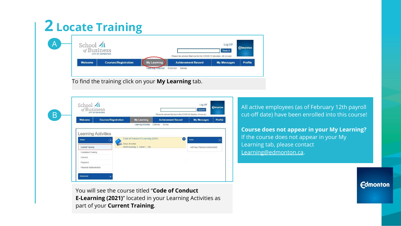## **2 Locate Training**

| School 4<br>of Business |                                                        |                    |                                                                                                 | Log Off<br>Search  | <b>Edmonton</b> |
|-------------------------|--------------------------------------------------------|--------------------|-------------------------------------------------------------------------------------------------|--------------------|-----------------|
| <b>Welcome</b>          | <b>CITY OF EDMONTON</b><br><b>Courses/Registration</b> | <b>My Learning</b> | Please be advised that due to the COVID-19 situation, all non-ess.<br><b>Achievement Record</b> | <b>My Messages</b> | <b>Profile</b>  |

To find the training click on your **My Learning** tab.



You will see the course titled "**Code of Conduct E-Learning (2021)**" located in your Learning Activities as part of your **Current Training**.

All active employees (as of February 12th payroll cut-off date) have been enrolled into this course!

**Course does not appear in your My Learning?** If the course does not appear in your My Learning tab, please contact [Learning@edmonton.ca.](mailto:Learning@edmonton.ca)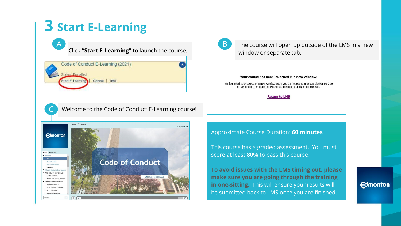## **3 Start E-Learning**

 $\mathsf{A}_{\scriptscriptstyle{0}}$ 

 $\mathsf{C}\phantom{0}$ 

Click **"Start E-Learning"** to launch the course.

| Code of Conduct E-Learning (2021)  |  |
|------------------------------------|--|
| Status: Enrolled                   |  |
| Start E-Learning<br>Cancel<br>Info |  |
|                                    |  |

B

The course will open up outside of the LMS in a new window or separate tab.

#### Your course has been launched in a new window.

We launched your course in a new window but if you do not see it, a popup blocker may be preventing it from opening. Please disable popup blockers for this site.

#### **Return to LMS**

Welcome to the Code of Conduct E-Learning course!



Approximate Course Duration: **60 minutes**

This course has a graded assessment. You must score at least **80%** to pass this course.

**To avoid issues with the LMS timing out, please make sure you are going through the training in one-sitting**. This will ensure your results will be submitted back to LMS once you are finished.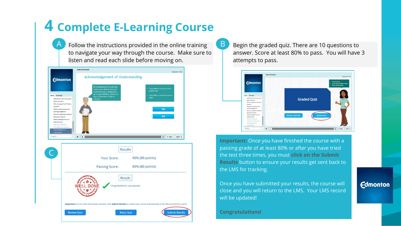### **4 Complete E-Learning Course**

Follow the instructions provided in the online training to navigate your way through the course. Make sure to listen and read each slide before moving on.  $\mathsf{A}_{\scriptscriptstyle{0}}$ 

|                                                                                                                                                                                                                                              | <b>Edmonton</b>                                                                                                      | <b>Acknowledgement of Understanding</b><br>By completing this eLearning<br>course, you declare that you | Resources   Exit<br>- Select Yes to continue to the                                   |
|----------------------------------------------------------------------------------------------------------------------------------------------------------------------------------------------------------------------------------------------|----------------------------------------------------------------------------------------------------------------------|---------------------------------------------------------------------------------------------------------|---------------------------------------------------------------------------------------|
| Menu Transcript<br>about my action?<br>question?<br>What are the disclosure and<br>reporting obligations?<br>Misconduct Hotline?<br>What is expected if I am in a<br>leadership role?<br>Where can I find more<br>information and resources? | What should I do if I am unsure<br>$\frac{1}{2}$<br>Who can support me if I have a<br>How do I contact the Fraud and | understand your obligations<br>and responsibilities under the<br>City of Edmonton Code of<br>Conduct.   | graded quiz.<br>- Select No to review the course<br>again.<br><b>YES</b><br><b>NO</b> |
| Acknowledgement of<br>Understanding<br>Search                                                                                                                                                                                                | ۴<br>٠                                                                                                               |                                                                                                         | « PREV<br>O<br>NEXT ><br><b>Results</b>                                               |
|                                                                                                                                                                                                                                              |                                                                                                                      | <b>Your Score:</b><br><b>Passing Score:</b>                                                             | 90% (90 points)<br>80% (80 points)                                                    |
|                                                                                                                                                                                                                                              |                                                                                                                      |                                                                                                         | Result:                                                                               |
|                                                                                                                                                                                                                                              |                                                                                                                      | Congratulations, you passed.                                                                            |                                                                                       |

Begin the graded quiz. There are 10 questions to answer. Score at least 80% to pass. You will have 3 attempts to pass.



**Important:** Once you have finished the course with a passing grade of at least 80% or after you have tried the test three times, you must **click on the Submit Results** button to ensure your results get sent back to the LMS for tracking.

Once you have submitted your results, the course will close and you will return to the LMS. Your LMS record will be updated!

#### **Congratulations!**

B